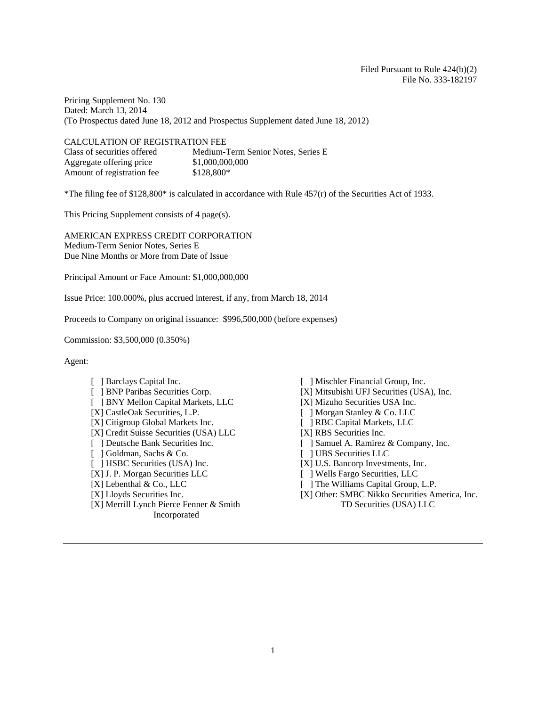Pricing Supplement No. 130 Dated: March 13, 2014 (To Prospectus dated June 18, 2012 and Prospectus Supplement dated June 18, 2012)

CALCULATION OF REGISTRATION FEE Class of securities offered Medium-Term Senior Notes, Series E Aggregate offering price \$1,000,000,000 Amount of registration fee \$128,800\*

\*The filing fee of  $$128,800*$  is calculated in accordance with Rule  $457(r)$  of the Securities Act of 1933.

This Pricing Supplement consists of 4 page(s).

AMERICAN EXPRESS CREDIT CORPORATION Medium-Term Senior Notes, Series E Due Nine Months or More from Date of Issue

Principal Amount or Face Amount: \$1,000,000,000

Issue Price: 100.000%, plus accrued interest, if any, from March 18, 2014

Proceeds to Company on original issuance: \$996,500,000 (before expenses)

Commission: \$3,500,000 (0.350%)

Agent:

- 
- 
- [ ] BNY Mellon Capital Markets, LLC [X] Mizuho Securities USA Inc.
- 
- [X] Citigroup Global Markets Inc. [ ] RBC Capital Markets, LLC
- [X] Credit Suisse Securities (USA) LLC [X] RBS Securities Inc.
- 
- [ ] Goldman, Sachs & Co. [ ] UBS Securities LLC
- 
- [X] J. P. Morgan Securities LLC [ ] Wells Fargo Securities, LLC
- 
- 
- [X] Merrill Lynch Pierce Fenner & Smith Incorporated
- [ ] Barclays Capital Inc. [ ] Mischler Financial Group, Inc.
- [ ] BNP Paribas Securities Corp. [X] Mitsubishi UFJ Securities (USA), Inc.
	-
- [X] CastleOak Securities, L.P. [ ] Morgan Stanley & Co. LLC
	-
	-
- [ ] Deutsche Bank Securities Inc. [ ] Samuel A. Ramirez & Company, Inc.
	-
- [ ] HSBC Securities (USA) Inc. [X] U.S. Bancorp Investments, Inc.
	-
- [X] Lebenthal & Co., LLC [ ] The Williams Capital Group, L.P.
- [X] Lloyds Securities Inc. [X] Other: SMBC Nikko Securities America, Inc. TD Securities (USA) LLC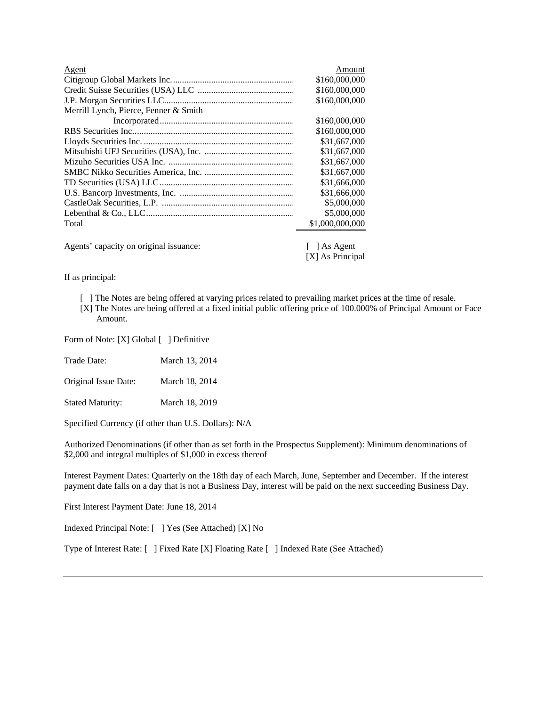| Agent                                  | Amount                     |
|----------------------------------------|----------------------------|
|                                        | \$160,000,000              |
|                                        | \$160,000,000              |
|                                        | \$160,000,000              |
| Merrill Lynch, Pierce, Fenner & Smith  |                            |
|                                        | \$160,000,000              |
|                                        | \$160,000,000              |
|                                        | \$31,667,000               |
|                                        | \$31,667,000               |
|                                        | \$31,667,000               |
|                                        | \$31,667,000               |
|                                        | \$31,666,000               |
|                                        | \$31,666,000               |
|                                        | \$5,000,000                |
|                                        | \$5,000,000                |
| Total                                  | \$1,000,000,000            |
| Agents' capacity on original issuance: | $\lceil \,\rceil$ As Agent |

[X] As Principal

If as principal:

- [ ] The Notes are being offered at varying prices related to prevailing market prices at the time of resale. [X] The Notes are being offered at a fixed initial public offering price of 100.000% of Principal Amount or Face
	- Amount.

Form of Note: [X] Global [ ] Definitive

Trade Date: March 13, 2014

Original Issue Date: March 18, 2014

Stated Maturity: March 18, 2019

Specified Currency (if other than U.S. Dollars): N/A

Authorized Denominations (if other than as set forth in the Prospectus Supplement): Minimum denominations of \$2,000 and integral multiples of \$1,000 in excess thereof

Interest Payment Dates: Quarterly on the 18th day of each March, June, September and December. If the interest payment date falls on a day that is not a Business Day, interest will be paid on the next succeeding Business Day.

First Interest Payment Date: June 18, 2014

Indexed Principal Note: [ ] Yes (See Attached) [X] No

Type of Interest Rate: [ ] Fixed Rate [X] Floating Rate [ ] Indexed Rate (See Attached)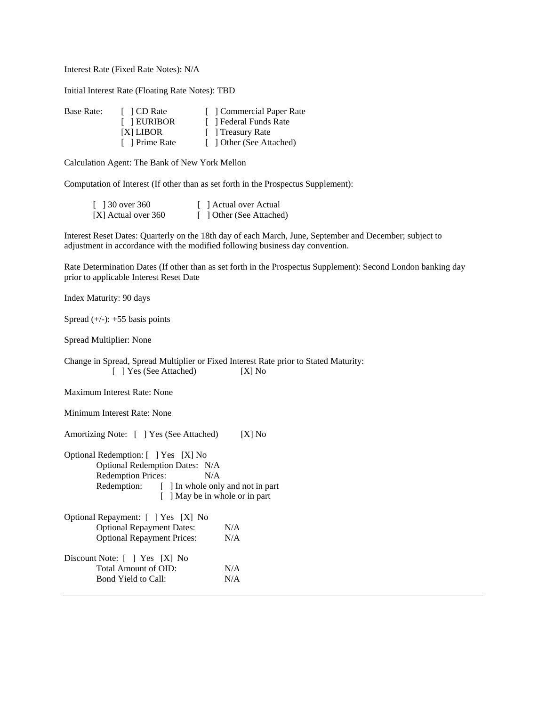Interest Rate (Fixed Rate Notes): N/A

Initial Interest Rate (Floating Rate Notes): TBD

| Base Rate: | $\lceil$ 1 CD Rate | [ Commercial Paper Rate  |
|------------|--------------------|--------------------------|
|            | [ ] EURIBOR        | [ ] Federal Funds Rate   |
|            | [X] LIBOR          | Treasury Rate            |
|            | [ ] Prime Rate     | [ ] Other (See Attached) |

Calculation Agent: The Bank of New York Mellon

Computation of Interest (If other than as set forth in the Prospectus Supplement):

| [ $\sqrt{30}$ over 360 | [ ] Actual over Actual   |
|------------------------|--------------------------|
| [X] Actual over 360    | [ ] Other (See Attached) |

Interest Reset Dates: Quarterly on the 18th day of each March, June, September and December; subject to adjustment in accordance with the modified following business day convention.

Rate Determination Dates (If other than as set forth in the Prospectus Supplement): Second London banking day prior to applicable Interest Reset Date

Index Maturity: 90 days

Spread  $(+/-): +55$  basis points

Spread Multiplier: None

Change in Spread, Spread Multiplier or Fixed Interest Rate prior to Stated Maturity: [ ] Yes (See Attached) [X] No

Maximum Interest Rate: None

Minimum Interest Rate: None

Amortizing Note: [ ] Yes (See Attached) [X] No

| Optional Redemption: [ ] Yes [X] No          |
|----------------------------------------------|
| Optional Redemption Dates: N/A               |
| <b>Redemption Prices:</b><br>N/A             |
| Redemption: [] In whole only and not in part |
| [ ] May be in whole or in part               |
| $\alpha$ in the set of $\alpha$              |

| Optional Repayment: [ ] Yes [X] No |     |
|------------------------------------|-----|
| <b>Optional Repayment Dates:</b>   | N/A |
| <b>Optional Repayment Prices:</b>  |     |
| Discount Note: [ ] Yes [X] No      |     |
| Total Amount of OID:               | N/A |
| Bond Yield to Call:                | N/A |